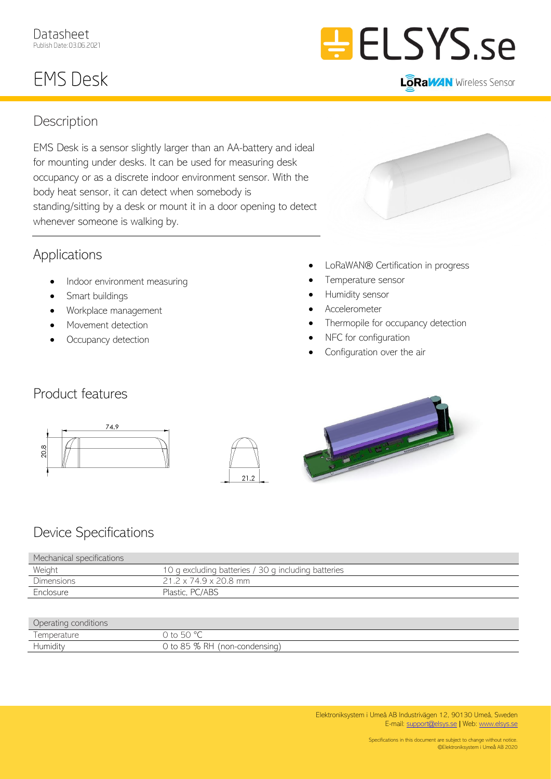# **EMS Desk**



**LôRaWAN** Wireless Sensor

### **Description**

EMS Desk is a sensor slightly larger than an AA-battery and ideal for mounting under desks. It can be used for measuring desk occupancy or as a discrete indoor environment sensor. With the body heat sensor, it can detect when somebody is standing/sitting by a desk or mount it in a door opening to detect whenever someone is walking by.

## Applications

- Indoor environment measuring
- Smart buildings
- Workplace management
- Movement detection
- Occupancy detection
- LoRaWAN® Certification in progress
- Temperature sensor
- Humidity sensor
- Accelerometer
- Thermopile for occupancy detection
- NFC for configuration
- Configuration over the air

## Product features







# Device Specifications

| Mechanical specifications |                                                     |
|---------------------------|-----------------------------------------------------|
| Weight                    | 10 g excluding batteries / 30 g including batteries |
| <b>Dimensions</b>         | 21.2 x 74.9 x 20.8 mm                               |
| Enclosure                 | Plastic, PC/ABS                                     |

#### Operating conditions

| $\Box$        | $. \Gamma \cap 0 \cap+\circ\simw$                                                                |
|---------------|--------------------------------------------------------------------------------------------------|
| .<br>Humidity | PL<br>$\sim$<br>$+\circ$<br>, condensing-<br>non<br>$\times$<br>.<br>AL.<br>7 U<br>◡<br>$\smile$ |
|               |                                                                                                  |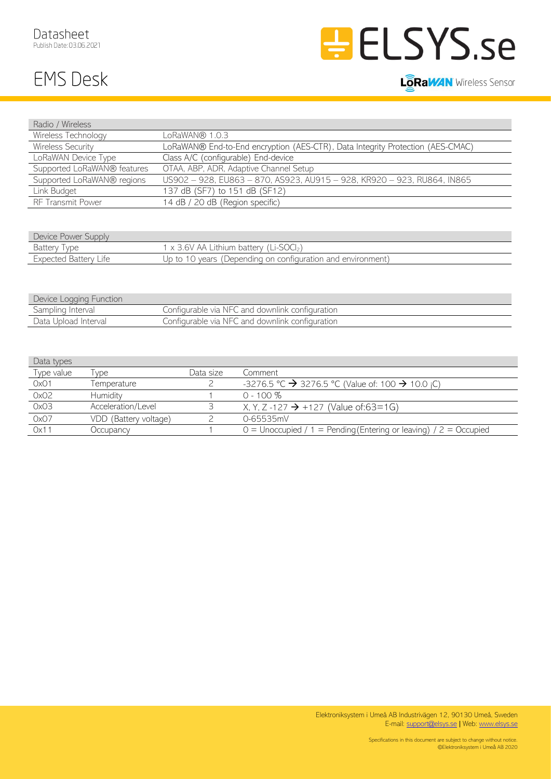Radio / Wireless





#### **LôRaWAN** Wireless Sensor

| Rayo / VVIICIESS            |                                                                                |  |  |
|-----------------------------|--------------------------------------------------------------------------------|--|--|
| Wireless Technology         | LoRaWAN® 1.0.3                                                                 |  |  |
| <b>Wireless Security</b>    | LoRaWAN® End-to-End encryption (AES-CTR), Data Integrity Protection (AES-CMAC) |  |  |
| LoRaWAN Device Type         | Class A/C (configurable) End-device                                            |  |  |
| Supported LoRaWAN® features | OTAA, ABP, ADR, Adaptive Channel Setup                                         |  |  |
| Supported LoRaWAN® regions  | US902 - 928, EU863 - 870, AS923, AU915 - 928, KR920 - 923, RU864, IN865        |  |  |
| Link Budget                 | 137 dB (SF7) to 151 dB (SF12)                                                  |  |  |
| <b>RF Transmit Power</b>    | 14 dB / 20 dB (Region specific)                                                |  |  |
|                             |                                                                                |  |  |
|                             |                                                                                |  |  |
| Device Power Supply         |                                                                                |  |  |

| Device Power Supply      |                                                                     |
|--------------------------|---------------------------------------------------------------------|
| Battery                  | $\pm$ x 3.6V AA Lithium battery (Li-SOCI <sub>2</sub> )             |
| Expected Battery<br>_ite | (Depending on configuration and environment)<br>vears iL<br>Jp to 1 |
|                          |                                                                     |

| Device Logging Function |                                                 |
|-------------------------|-------------------------------------------------|
| Sampling Interval       | Configurable via NFC and downlink configuration |
| Data Upload Interval    | Configurable via NFC and downlink configuration |

| Data types       |                       |           |                                                                          |
|------------------|-----------------------|-----------|--------------------------------------------------------------------------|
| Type value       | $'$ vpe               | Data size | Comment                                                                  |
| OxO1             | Temperature           |           | -3276.5 °C $\rightarrow$ 3276.5 °C (Value of: 100 $\rightarrow$ 10.0 ¡C) |
| OxO <sub>2</sub> | Humidity              |           | $0 - 100\%$                                                              |
| OxO3             | Acceleration/Level    |           | X, Y, Z -127 $\rightarrow$ +127 (Value of:63=1G)                         |
| OxO7             | VDD (Battery voltage) |           | 0-65535mV                                                                |
| 0x11             | Occupancy             |           | $0 =$ Unoccupied / 1 = Pending (Entering or leaving) / 2 = Occupied      |